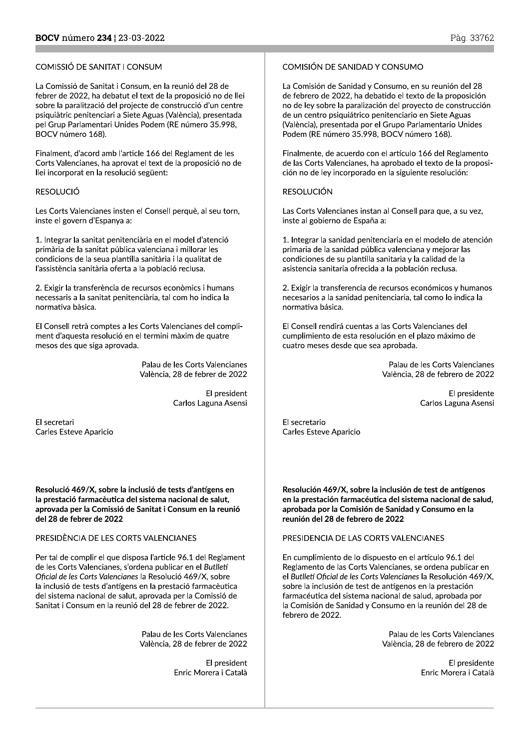**BOCV** número **234** ¦ 23-03-2022<br>COMISSIÓ DE SANITAT I CONSUM<br>La Comissió de Sanitat i Consum, en la reunió del 28 de<br>febrer de 2022, ha debatut el text de la proposició no d<br>sobre la paralització del projecte de construcc La Comissió de Sanitat i Consum, en la reunió del 28 de febrer de 2022, ha debatut el text de la proposició no de llei sobre la paralització del projecte de construcció d'un centre psiquiàtric penitenciari a Siete Aguas (València), presentada<br>pel Grup Parlamentari Unides Podem (RE número 35.998, COMISSIÓ DE SANITAT I CONSUM<br>La Comissió de Sanitat i Consum, en la reunió del 28 de<br>febrer de 2022, ha debatut el text de la proposició no de llei<br>sobre la paralització del projecte de construcció d'un centre<br>psiquiàtric BOCV número 168).

Finalment, d'acord amb l'article 166 del Reglament de les Corts Valencianes, ha aprovat el text de la proposició no de llei incorporat en la resolució següent:

Les Corts Valencianes insten el Consell perquè, al seu torn, inste el govern d'Espanya a:

Biquiarric pentenciari a siete<br>pel Grup Parlamentari Unides<br>BOCV número 168).<br>Finalment, d'acord amb l'articl<br>Corts Valencianes, ha aprovat<br>llei incorporat en la resolució :<br>RESOLUCIÓ<br>Les Corts Valencianes insten e<br>inste e 1. Integrar la sanitat penitenciària en el model d'atenció primària de la sanitat pública valenciana i millorar les condicions de la seua plantilla sanitària i la qualitat de l'assistència sanitària oferta a la població reclusa.

> 2. Exigir la transferència de recursos econòmics i humans necessaris a la sanitat penitenciària, tal com ho indica la normativa bàsica.

El Consell retrà comptes a les Corts Valencianes del compliment d'aquesta resolució en el termini màxim de quatre mesos des que siga aprovada.

> Palau de les Corts Valencianes València, 28 de febrer de 2022

> > El president Carlos Laguna Asensi

El secretari Carles Esteve Aparicio

Resolució 469/X, sobre la inclusió de tests d'antígens en la prestació farmacèutica del sistema nacional de salut, aprovada per la Comissió de Sanitat i Consum en la reunió del 28 de febrer de 2022

## PRESIDÈNCIA DE LES CORTS VALENCIANES

Per tal de complir el que disposa l'article 96.1 del Reglament de les Corts Valencianes, s'ordena publicar en el Butlletí Oficial de les Corts Valencianes la Resolució 469/X, sobre la inclusió de tests d'antígens en la prestació farmacèutica del sistema nacional de salut, aprovada per la Comissió de Sanitat i Consum en la reunió del 28 de febrer de 2022.

> Palau de les Corts Valencianes València, 28 de febrer de 2022

> > El president Enric Morera i Català

Pàg. 3376<br>
COMISIÓN DE SANIDAD Y CONSUMO<br>
La Comisión de Sanidad y Consumo, en su reunión del 28<br>
de febrero de 2022, ha debatido el texto de la proposición<br>
no de ley sobre la paralización del proyecto de construcción<br>
de de febrero de 2022, ha debatido el texto de la proposición no de ley sobre la paralización del proyecto de construcción de un centro psiquiátrico penitenciario en Siete Aguas<br>(València), presentada por el Grupo Parlamentario Unides COMISIÓN DE SANIDAD Y CONSUMO<br>La Comisión de Sanidad y Consumo, en su reunión del 28<br>de febrero de 2022, ha debatido el texto de la proposición<br>no de ley sobre la paralización del proyecto de construcción<br>de un centro psiq Podem (RE número 35.998, BOCV número 168).

Finalmente, de acuerdo con el artículo 166 del Reglamento de las Corts Valencianes, ha aprobado el texto de la proposición no de ley incorporado en la siguiente resolución:

inste al gobierno de España a:

dada<br>
(València), presentada por el Grupo Parlamentario Unides<br>
Podem (RE número 35.998, BOCV número 168).<br>
es<br>
Finalmente, de acuerdo con el artículo 166 del Reglamento<br>
de las Corts Valencianes, ha aprobado el texto de l 1. Integrar la sanidad penitenciaria en el modelo de atención primaria de la sanidad pública valenciana y mejorar las condiciones de su plantilla sanitaria y la calidad de la asistencia sanitaria ofrecida a la población reclusa.

> 2. Exigir la transferencia de recursos económicos y humanos necesarios a la sanidad penitenciaria, tal como lo indica la normativa básica.

El Consell rendirá cuentas a las Corts Valencianes del cumplimiento de esta resolución en el plazo máximo de cuatro meses desde que sea aprobada.

> Palau de les Corts Valencianes València, 28 de febrero de 2022

> > El presidente Carlos Laguna Asensi

El secretario Carles Esteve Aparicio

Resolución 469/X, sobre la inclusión de test de antígenos en la prestación farmacéutica del sistema nacional de salud, aprobada por la Comisión de Sanidad y Consumo en la reunión del 28 de febrero de 2022

PRESIDENCIA DE LAS CORTS VALENCIANES

En cumplimiento de lo dispuesto en el artículo 96.1 del Reglamento de las Corts Valencianes, se ordena publicar en el Butlletí Oficial de les Corts Valencianes la Resolución 469/X, sobre la inclusión de test de antígenos en la prestación farmacéutica del sistema nacional de salud, aprobada por la Comisión de Sanidad y Consumo en la reunión del 28 de febrero de 2022.

> Palau de les Corts Valencianes València, 28 de febrero de 2022

> > El presidente Enric Morera i Català